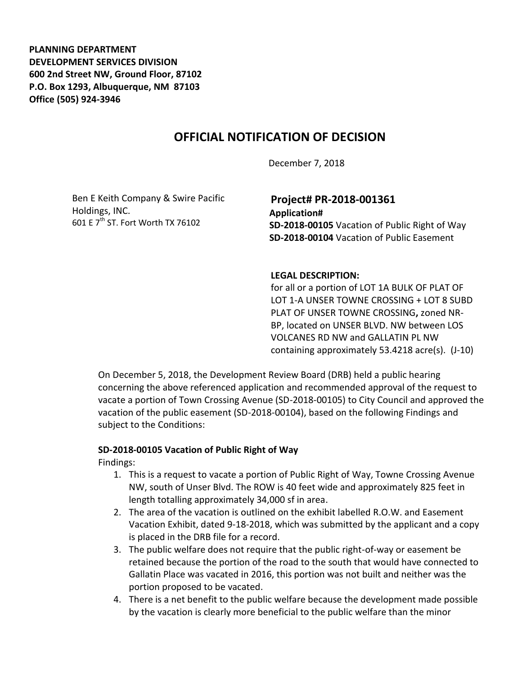**PLANNING DEPARTMENT DEVELOPMENT SERVICES DIVISION 600 2nd Street NW, Ground Floor, 87102 P.O. Box 1293, Albuquerque, NM 87103 Office (505) 924-3946** 

## **OFFICIAL NOTIFICATION OF DECISION**

December 7, 2018

Ben E Keith Company & Swire Pacific Holdings, INC. 601 E 7<sup>th</sup> ST. Fort Worth TX 76102

# **Project# PR-2018-001361 Application#**

**SD-2018-00105** Vacation of Public Right of Way **SD-2018-00104** Vacation of Public Easement

#### **LEGAL DESCRIPTION:**

for all or a portion of LOT 1A BULK OF PLAT OF LOT 1-A UNSER TOWNE CROSSING + LOT 8 SUBD PLAT OF UNSER TOWNE CROSSING**,** zoned NR-BP, located on UNSER BLVD. NW between LOS VOLCANES RD NW and GALLATIN PL NW containing approximately 53.4218 acre(s). (J-10)

On December 5, 2018, the Development Review Board (DRB) held a public hearing concerning the above referenced application and recommended approval of the request to vacate a portion of Town Crossing Avenue (SD-2018-00105) to City Council and approved the vacation of the public easement (SD-2018-00104), based on the following Findings and subject to the Conditions:

### **SD-2018-00105 Vacation of Public Right of Way**

Findings:

- 1. This is a request to vacate a portion of Public Right of Way, Towne Crossing Avenue NW, south of Unser Blvd. The ROW is 40 feet wide and approximately 825 feet in length totalling approximately 34,000 sf in area.
- 2. The area of the vacation is outlined on the exhibit labelled R.O.W. and Easement Vacation Exhibit, dated 9-18-2018, which was submitted by the applicant and a copy is placed in the DRB file for a record.
- 3. The public welfare does not require that the public right-of-way or easement be retained because the portion of the road to the south that would have connected to Gallatin Place was vacated in 2016, this portion was not built and neither was the portion proposed to be vacated.
- 4. There is a net benefit to the public welfare because the development made possible by the vacation is clearly more beneficial to the public welfare than the minor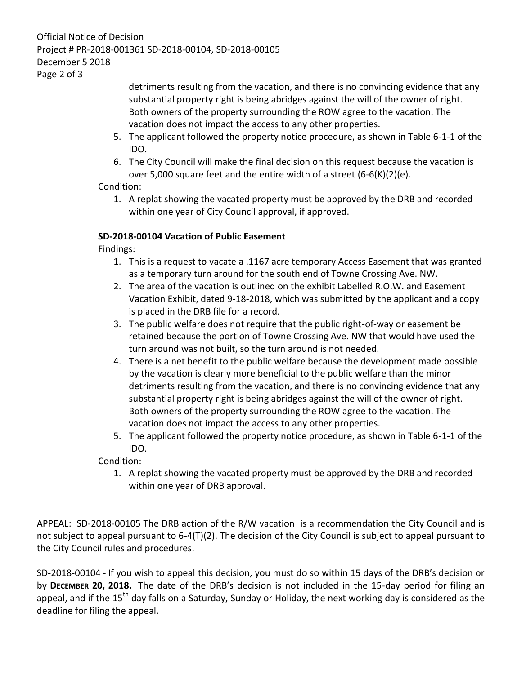#### Official Notice of Decision Project # PR-2018-001361 SD-2018-00104, SD-2018-00105 December 5 2018 Page 2 of 3

detriments resulting from the vacation, and there is no convincing evidence that any substantial property right is being abridges against the will of the owner of right. Both owners of the property surrounding the ROW agree to the vacation. The vacation does not impact the access to any other properties.

- 5. The applicant followed the property notice procedure, as shown in Table 6-1-1 of the IDO.
- 6. The City Council will make the final decision on this request because the vacation is over 5,000 square feet and the entire width of a street (6-6(K)(2)(e).

Condition:

1. A replat showing the vacated property must be approved by the DRB and recorded within one year of City Council approval, if approved.

## **SD-2018-00104 Vacation of Public Easement**

Findings:

- 1. This is a request to vacate a .1167 acre temporary Access Easement that was granted as a temporary turn around for the south end of Towne Crossing Ave. NW.
- 2. The area of the vacation is outlined on the exhibit Labelled R.O.W. and Easement Vacation Exhibit, dated 9-18-2018, which was submitted by the applicant and a copy is placed in the DRB file for a record.
- 3. The public welfare does not require that the public right-of-way or easement be retained because the portion of Towne Crossing Ave. NW that would have used the turn around was not built, so the turn around is not needed.
- 4. There is a net benefit to the public welfare because the development made possible by the vacation is clearly more beneficial to the public welfare than the minor detriments resulting from the vacation, and there is no convincing evidence that any substantial property right is being abridges against the will of the owner of right. Both owners of the property surrounding the ROW agree to the vacation. The vacation does not impact the access to any other properties.
- 5. The applicant followed the property notice procedure, as shown in Table 6-1-1 of the IDO.

Condition:

1. A replat showing the vacated property must be approved by the DRB and recorded within one year of DRB approval.

APPEAL: SD-2018-00105 The DRB action of the R/W vacation is a recommendation the City Council and is not subject to appeal pursuant to 6-4(T)(2). The decision of the City Council is subject to appeal pursuant to the City Council rules and procedures.

SD-2018-00104 - If you wish to appeal this decision, you must do so within 15 days of the DRB's decision or by **DECEMBER 20, 2018.** The date of the DRB's decision is not included in the 15-day period for filing an appeal, and if the 15<sup>th</sup> day falls on a Saturday, Sunday or Holiday, the next working day is considered as the deadline for filing the appeal.